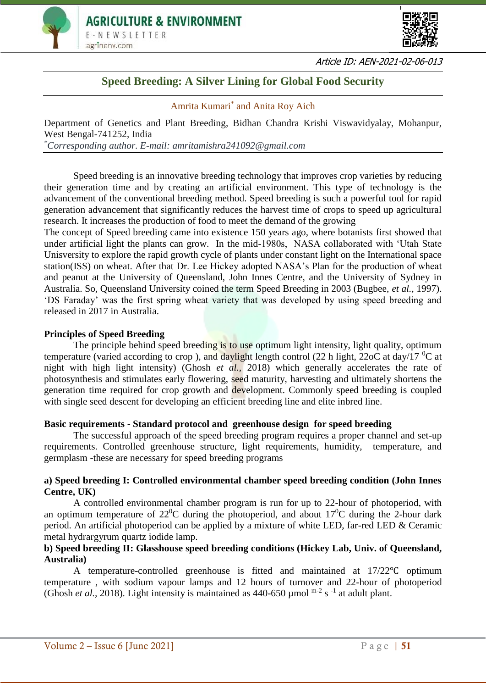



Article ID: AEN-2021-02-06-013

# **Speed Breeding: A Silver Lining for Global Food Security**

# Amrita Kumari\* and Anita Roy Aich

Department of Genetics and Plant Breeding, Bidhan Chandra Krishi Viswavidyalay, Mohanpur, West Bengal-741252, India *\*Corresponding author. E-mail: amritamishra241092@gmail.com*

Speed breeding is an innovative breeding technology that improves crop varieties by reducing their generation time and by creating an artificial environment. This type of technology is the advancement of the conventional breeding method. Speed breeding is such a powerful tool for rapid generation advancement that significantly reduces the harvest time of crops to speed up agricultural research. It increases the production of food to meet the demand of the growing

The concept of Speed breeding came into existence 150 years ago, where botanists first showed that under artificial light the plants can grow. In the mid-1980s, NASA collaborated with 'Utah State Unisversity to explore the rapid growth cycle of plants under constant light on the International space station(ISS) on wheat. After that Dr. Lee Hickey adopted NASA's Plan for the production of wheat and peanut at the University of Queensland, John Innes Centre, and the University of Sydney in Australia. So, Queensland University coined the term Speed Breeding in 2003 (Bugbee, *et al.,* 1997). 'DS Faraday' was the first spring wheat variety that was developed by using speed breeding and released in 2017 in Australia.

#### **Principles of Speed Breeding**

The principle behind speed breeding is to use optimum light intensity, light quality, optimum temperature (varied according to crop), and daylight length control (22 h light, 22oC at day/17  $^{0}C$  at night with high light intensity) (Ghosh *et al.,* 2018) which generally accelerates the rate of photosynthesis and stimulates early flowering, seed maturity, harvesting and ultimately shortens the generation time required for crop growth and development. Commonly speed breeding is coupled with single seed descent for developing an efficient breeding line and elite inbred line.

#### **Basic requirements - Standard protocol and greenhouse design for speed breeding**

The successful approach of the speed breeding program requires a proper channel and set-up requirements. Controlled greenhouse structure, light requirements, humidity, temperature, and germplasm -these are necessary for speed breeding programs

#### **a) Speed breeding I: Controlled environmental chamber speed breeding condition (John Innes Centre, UK)**

A controlled environmental chamber program is run for up to 22-hour of photoperiod, with an optimum temperature of  $22^{\circ}$ C during the photoperiod, and about  $17^{\circ}$ C during the 2-hour dark period. An artificial photoperiod can be applied by a mixture of white LED, far-red LED & Ceramic metal hydrargyrum quartz iodide lamp.

# **b) Speed breeding II: Glasshouse speed breeding conditions (Hickey Lab, Univ. of Queensland, Australia)**

A temperature-controlled greenhouse is fitted and maintained at 17/22℃ optimum temperature , with sodium vapour lamps and 12 hours of turnover and 22-hour of photoperiod (Ghosh *et al.*, 2018). Light intensity is maintained as  $440-650 \mu$  mol<sup>m-2</sup> s<sup>-1</sup> at adult plant.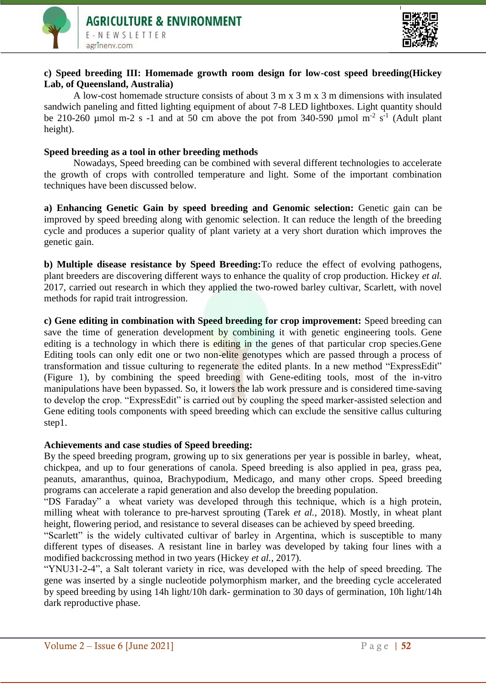

# **c) Speed breeding III: Homemade growth room design for low-cost speed breeding(Hickey Lab, of Queensland, Australia)**

A low-cost homemade structure consists of about  $3 \text{ m} \times 3 \text{ m} \times 3 \text{ m}$  dimensions with insulated sandwich paneling and fitted lighting equipment of about 7-8 LED lightboxes. Light quantity should be 210-260 µmol m-2 s -1 and at 50 cm above the pot from 340-590 µmol m<sup>-2</sup> s<sup>-1</sup> (Adult plant height).

#### **Speed breeding as a tool in other breeding methods**

Nowadays, Speed breeding can be combined with several different technologies to accelerate the growth of crops with controlled temperature and light. Some of the important combination techniques have been discussed below.

**a) Enhancing Genetic Gain by speed breeding and Genomic selection:** Genetic gain can be improved by speed breeding along with genomic selection. It can reduce the length of the breeding cycle and produces a superior quality of plant variety at a very short duration which improves the genetic gain.

**b) Multiple disease resistance by Speed Breeding:**To reduce the effect of evolving pathogens, plant breeders are discovering different ways to enhance the quality of crop production. Hickey *et al.* 2017, carried out research in which they applied the two-rowed barley cultivar, Scarlett, with novel methods for rapid trait introgression.

**c) Gene editing in combination with Speed breeding for crop improvement:** Speed breeding can save the time of generation development by combining it with genetic engineering tools. Gene editing is a technology in which there is editing in the genes of that particular crop species. Gene Editing tools can only edit one or two non-elite genotypes which are passed through a process of transformation and tissue culturing to regenerate the edited plants. In a new method "ExpressEdit" (Figure 1), by combining the speed breeding with Gene-editing tools, most of the in-vitro manipulations have been bypassed. So, it lowers the lab work pressure and is considered time-saving to develop the crop. "ExpressEdit" is carried out by coupling the speed marker-assisted selection and Gene editing tools components with speed breeding which can exclude the sensitive callus culturing step1.

# **Achievements and case studies of Speed breeding:**

By the speed breeding program, growing up to six generations per year is possible in barley, wheat, chickpea, and up to four generations of canola. Speed breeding is also applied in pea, grass pea, peanuts, amaranthus, quinoa, Brachypodium, Medicago, and many other crops. Speed breeding programs can accelerate a rapid generation and also develop the breeding population.

"DS Faraday" a wheat variety was developed through this technique, which is a high protein, milling wheat with tolerance to pre-harvest sprouting (Tarek *et al.,* 2018). Mostly, in wheat plant height, flowering period, and resistance to several diseases can be achieved by speed breeding.

"Scarlett" is the widely cultivated cultivar of barley in Argentina, which is susceptible to many different types of diseases. A resistant line in barley was developed by taking four lines with a modified backcrossing method in two years (Hickey *et al.,* 2017).

"YNU31-2-4", a Salt tolerant variety in rice, was developed with the help of speed breeding. The gene was inserted by a single nucleotide polymorphism marker, and the breeding cycle accelerated by speed breeding by using 14h light/10h dark- germination to 30 days of germination, 10h light/14h dark reproductive phase.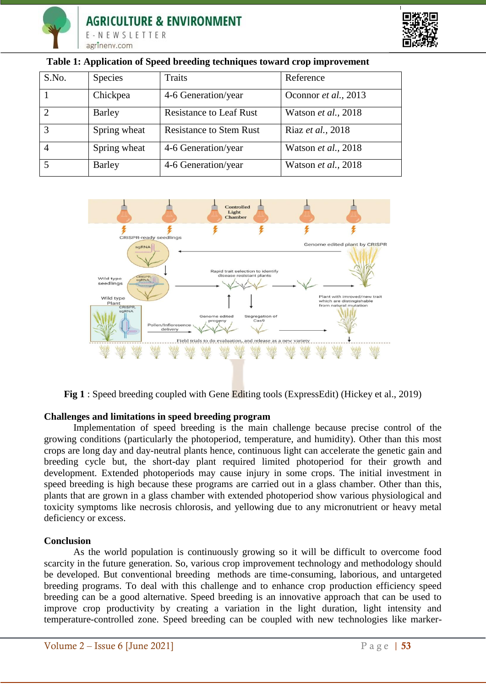



| S.No.          | <b>Species</b> | Traits                         | Reference            |
|----------------|----------------|--------------------------------|----------------------|
|                | Chickpea       | 4-6 Generation/year            | Oconnor et al., 2013 |
| ◠              | Barley         | <b>Resistance to Leaf Rust</b> | Watson et al., 2018  |
| 3              | Spring wheat   | <b>Resistance to Stem Rust</b> | Riaz et al., 2018    |
| $\overline{4}$ | Spring wheat   | 4-6 Generation/year            | Watson et al., 2018  |
|                | Barley         | 4-6 Generation/year            | Watson et al., 2018  |

#### **Table 1: Application of Speed breeding techniques toward crop improvement**



**Fig 1** : Speed breeding coupled with Gene Editing tools (ExpressEdit) (Hickey et al., 2019)

# **Challenges and limitations in speed breeding program**

Implementation of speed breeding is the main challenge because precise control of the growing conditions (particularly the photoperiod, temperature, and humidity). Other than this most crops are long day and day-neutral plants hence, continuous light can accelerate the genetic gain and breeding cycle but, the short-day plant required limited photoperiod for their growth and development. Extended photoperiods may cause injury in some crops. The initial investment in speed breeding is high because these programs are carried out in a glass chamber. Other than this, plants that are grown in a glass chamber with extended photoperiod show various physiological and toxicity symptoms like necrosis chlorosis, and yellowing due to any micronutrient or heavy metal deficiency or excess.

#### **Conclusion**

As the world population is continuously growing so it will be difficult to overcome food scarcity in the future generation. So, various crop improvement technology and methodology should be developed. But conventional breeding methods are time-consuming, laborious, and untargeted breeding programs. To deal with this challenge and to enhance crop production efficiency speed breeding can be a good alternative. Speed breeding is an innovative approach that can be used to improve crop productivity by creating a variation in the light duration, light intensity and temperature-controlled zone. Speed breeding can be coupled with new technologies like marker-